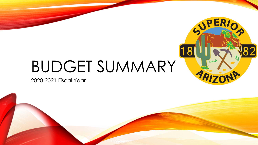# BUDGET SUMMARY

2020-2021 Fiscal Year



SPERIO

 $\sim$ 

ARIZ

[18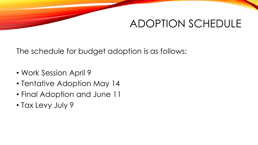# ADOPTION SCHEDULE

The schedule for budget adoption is as follows:

- Work Session April 9
- Tentative Adoption May 14
- Final Adoption and June 11
- Tax Levy July 9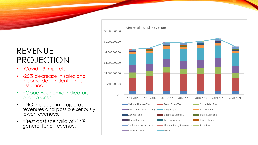## REVENUE PROJECTION

- -Covid-19 Impacts.
- -25% decrease in sales and income dependent funds assumed.
- +Good Economic indicators prior to Crisis.
- = NO Increase in projected revenues and possible seriously lower revenues.
- = Best cast scenario of -14% general fund revenue.

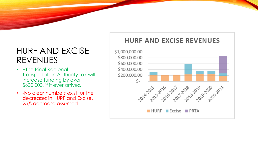### HURF AND EXCISE REVENUES

- +The Pinal Regional Transportation Authority tax will increase funding by over \$600,000, if it ever arrives.
- -No clear numbers exist for the decreases in HURF and Excise. 25% decrease assumed.

### **HURF AND EXCISE REVENUES** \$1,000,000.00 \$800,000.00 \$600,000.00 \$400,000.00 \$200,000.00 Ś-1014-2015 2016 2017 2018 2019 2010 2021 HURF Excise PRTA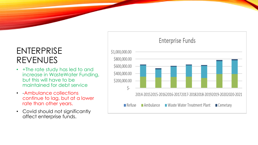### ENTERPRISE REVENUES

- +The rate study has led to and increase in WasteWater Funding, but this will have to be maintained for debt service
- -Ambulance collections continue to lag, but at a lower rate than other years.
- Covid should not significantly affect enterprise funds.

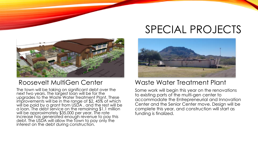# SPECIAL PROJECTS



#### Roosevelt MultiGen Center

The town will be taking on significant debt over the next two years. The largest loan will be for the upgrades to the Waste Water Treatment Plant. These improvements will be in the range of \$2, 45% of which will be paid by a grant from USDA , and the rest will be a loan. The debt service on the remaining \$1.1 million will be approximately \$35,000 per year. The rate increase has generated enough revenue to pay this debt. The USDA will allow the Town to pay only the interest on the debt during construction.



#### Waste Water Treatment Plant

Some work will begin this year on the renovations to existing parts of the multi-gen center to accommodate the Entrepreneurial and Innovation Center and the Senior Center move. Design will be complete this year, and construction will start as funding is finalized.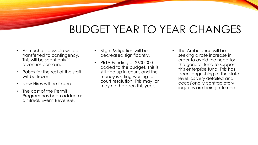# BUDGET YEAR TO YEAR CHANGES

- As much as possible will be transferred to contingency. This will be spent only if revenues come in.
- Raises for the rest of the staff will be frozen.
- New Hires will be frozen.
- The cost of the Permit Program has been added as a "Break Even" Revenue.
- Blight Mitigation will be decreased significantly.
- PRTA Funding of \$600,000 added to the budget. This is still tied up in court, and the money is sitting waiting for court resolution. This may or may not happen this year.
- The Ambulance will be seeking a rate increase in order to avoid the need for the general fund to support this enterprise fund. This has been languishing at the state level, as very detailed and occasionally contradictory inquiries are being returned.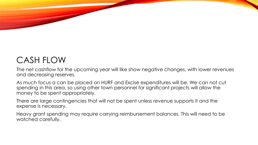# CASH FLOW

The net cashflow for the upcoming year will like show negative changes, with lower revenues and decreasing reserves.

As much focus a can be placed on HURF and Excise expenditures will be. We can not cut spending in this area, so using other town personnel for significant projects will allow the money to be spent appropriately.

There are large contingencies that will not be spent unless revenue supports it and the expense is necessary.

Heavy grant spending may require carrying reimbursement balances. This will need to be watched carefully.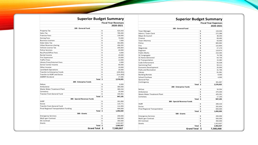#### **Superior Budget Summary**

|                               |                    | <b>Fiscal Year Expenses</b> |
|-------------------------------|--------------------|-----------------------------|
|                               |                    | 2020-2021                   |
| 100 - General Fund            |                    |                             |
| <b>Town Manager</b>           |                    | \$<br>133,035               |
| Admin / Town Clerk            |                    | \$<br>272,389               |
| Mayor & Council               |                    | \$<br>38,293                |
| Finance                       |                    | \$<br>69,465                |
| <b>Town Attorney</b>          |                    | \$<br>63,000                |
| Police                        |                    | \$<br>805,992               |
| Fire                          |                    | \$<br>122,804               |
| Magistrate                    |                    | \$<br>27,170                |
| Engineer                      |                    | \$<br>119,974               |
| <b>Public Works</b>           |                    | \$<br>210,494               |
| SC Congregate                 |                    | \$<br>76,799                |
| <b>SC Home Delivered</b>      |                    | \$<br>64,735                |
| <b>SC Transportation</b>      |                    | \$<br>15,382                |
| Code Enforcement              |                    | \$<br>55,538                |
| Swimming Pool                 |                    | \$<br>50,111                |
| <b>Economic Development</b>   |                    | \$<br>25,000                |
| Parks and Recreation          |                    | \$<br>31,766                |
| Library                       |                    | \$<br>81,081                |
| <b>Building Rentals</b>       |                    | \$<br>8,000                 |
| School Purchase               |                    | \$<br>4,000                 |
| General Plan                  |                    | \$                          |
| Contingency                   |                    | \$<br>301,897               |
|                               | Total \$           | 2,576,925                   |
| 200 - Enterprise Funds        |                    |                             |
| Refuse                        |                    | \$<br>34,354                |
| Ambulance                     |                    | \$<br>470,400               |
| Waste Water Treatment Plant   |                    | \$<br>425,291               |
| Cemetary                      |                    | \$<br>17,150                |
|                               | Total \$           | 947,195                     |
| 300 - Special Revenue Funds   |                    |                             |
| <b>HURF</b>                   |                    | \$<br>289,416               |
| Excise                        |                    | \$<br>202,604               |
| Pinal Regional Transportation |                    | \$<br>600,000               |
|                               | Total \$           | 1,092,020                   |
| 500 - Grants                  |                    |                             |
| <b>Emergency Services</b>     |                    | \$<br>200,000               |
| Multi-gen Contract            |                    | \$<br>500,000               |
| <b>EIC Contract</b>           |                    | \$<br>350,000               |
| Grants                        |                    | \$<br>1,913,927             |
|                               | Total \$           | 2,963,927                   |
|                               | <b>Grand Total</b> | \$<br>7,580,068             |

#### **Superior Budget Summary**

|                                       |    | <b>Fiscal Year Revenues</b> |
|---------------------------------------|----|-----------------------------|
|                                       |    | 2020-2021                   |
| 100 - General Fund                    |    |                             |
| Property Tax                          | \$ | 623,443                     |
| Sales Tax                             | \$ | 785,000                     |
| <b>Francise Fees</b>                  | \$ | 130,000                     |
| <b>Zoning Fees</b>                    |    | 70,000                      |
| <b>Business Licenses</b>              | \$ | 7,000                       |
| <b>State Sales Tax</b>                | \$ | 353,865                     |
| Urban Revenue sharing                 | \$ | 456,202                     |
| Vehicle License Tax                   | \$ | 205,664                     |
| <b>Police Services</b>                | \$ | 20,000                      |
| Rec/Pool/Office Fees                  | \$ | 3,000                       |
| Rental Income                         | \$ | 20,000                      |
| <b>Fire Supression</b>                | \$ | 10,000                      |
| <b>Traffic Fines</b>                  | \$ | 14,000                      |
| Library Fines/Internet Fees           | \$ | 2,000                       |
| Senior Center Income                  | \$ | 90,000                      |
| Other Income                          | \$ | 10,000                      |
| Land Bank Operations                  | \$ | 20,000                      |
| Transfer to Enterprise Funds          | \$ | (155, 951)                  |
| Transfer to HURF and Excise           | \$ | (114, 393)                  |
| <b>AMRRP Dividend</b>                 | \$ | 27,095                      |
| Total                                 | \$ | 2,576,925                   |
| 200 - Enterprise Funds                |    |                             |
| Refuse                                | \$ | 6,000                       |
| Ambulance                             | \$ | 380,000                     |
| Waste Water Treatment Plant           | \$ | 380,244                     |
| Cemetery                              | \$ | 25,000                      |
| <b>Transter from General Fund</b>     | \$ | 155,951                     |
| Total                                 | \$ | 947,195                     |
| 300 - Special Revenue Funds           |    |                             |
| <b>HURF</b>                           | \$ | 261,856                     |
| Excise                                | \$ | 115,771                     |
| <b>Transfer from General Fund</b>     | \$ | 114,393                     |
| Pinal Regional Transportation Funding | \$ | 600,000                     |
| Total                                 | \$ | 1,092,020                   |
| 500 - Grants                          |    |                             |
| <b>Emergency Services</b>             | \$ | 200,000                     |
| Multi-gen Contract                    | \$ | 500,000                     |
| <b>EIC Contract</b>                   | \$ | 350,000                     |
| Grants                                | \$ | 1,913,927                   |
| Total                                 | \$ | 2,963,927                   |
| <b>Grand Total</b>                    | Ś  | 7,580,067                   |